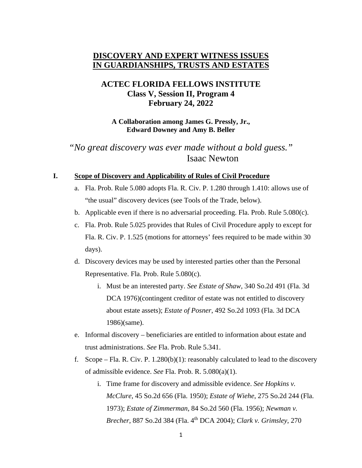# **DISCOVERY AND EXPERT WITNESS ISSUES IN GUARDIANSHIPS, TRUSTS AND ESTATES**

# **ACTEC FLORIDA FELLOWS INSTITUTE Class V, Session II, Program 4 February 24, 2022**

**A Collaboration among James G. Pressly, Jr., Edward Downey and Amy B. Beller**

*"No great discovery was ever made without a bold guess."* Isaac Newton

## **I. Scope of Discovery and Applicability of Rules of Civil Procedure**

- a. Fla. Prob. Rule 5.080 adopts Fla. R. Civ. P. 1.280 through 1.410: allows use of "the usual" discovery devices (see Tools of the Trade, below).
- b. Applicable even if there is no adversarial proceeding. Fla. Prob. Rule 5.080(c).
- c. Fla. Prob. Rule 5.025 provides that Rules of Civil Procedure apply to except for Fla. R. Civ. P. 1.525 (motions for attorneys' fees required to be made within 30 days).
- d. Discovery devices may be used by interested parties other than the Personal Representative. Fla. Prob. Rule 5.080(c).
	- i. Must be an interested party. *See Estate of Shaw*, 340 So.2d 491 (Fla. 3d DCA 1976)(contingent creditor of estate was not entitled to discovery about estate assets); *Estate of Posner*, 492 So.2d 1093 (Fla. 3d DCA 1986)(same).
- e. Informal discovery beneficiaries are entitled to information about estate and trust administrations. *See* Fla. Prob. Rule 5.341.
- f. Scope Fla. R. Civ. P.  $1.280(b)(1)$ : reasonably calculated to lead to the discovery of admissible evidence. *See* Fla. Prob. R. 5.080(a)(1).
	- i. Time frame for discovery and admissible evidence. *See Hopkins v. McClure*, 45 So.2d 656 (Fla. 1950); *Estate of Wiehe*, 275 So.2d 244 (Fla. 1973); *Estate of Zimmerman*, 84 So.2d 560 (Fla. 1956); *Newman v. Brecher*, 887 So.2d 384 (Fla. 4th DCA 2004); *Clark v. Grimsley*, 270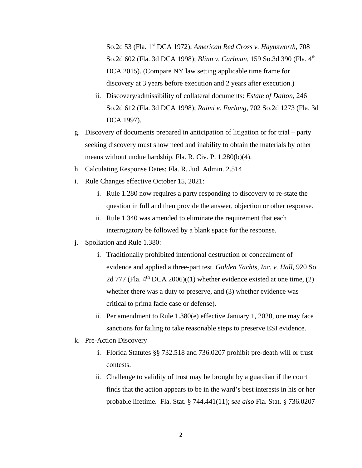So.2d 53 (Fla. 1st DCA 1972); *American Red Cross v. Haynsworth*, 708 So.2d 602 (Fla. 3d DCA 1998); *Blinn v. Carlman*, 159 So.3d 390 (Fla. 4th DCA 2015). (Compare NY law setting applicable time frame for discovery at 3 years before execution and 2 years after execution.)

- ii. Discovery/admissibility of collateral documents: *Estate of Dalton*, 246 So.2d 612 (Fla. 3d DCA 1998); *Raimi v. Furlong*, 702 So.2d 1273 (Fla. 3d DCA 1997).
- g. Discovery of documents prepared in anticipation of litigation or for trial party seeking discovery must show need and inability to obtain the materials by other means without undue hardship. Fla. R. Civ. P. 1.280(b)(4).
- h. Calculating Response Dates: Fla. R. Jud. Admin. 2.514
- i. Rule Changes effective October 15, 2021:
	- i. Rule 1.280 now requires a party responding to discovery to re-state the question in full and then provide the answer, objection or other response.
	- ii. Rule 1.340 was amended to eliminate the requirement that each interrogatory be followed by a blank space for the response.
- j. Spoliation and Rule 1.380:
	- i. Traditionally prohibited intentional destruction or concealment of evidence and applied a three-part test. *Golden Yachts, Inc. v. Hall*, 920 So. 2d 777 (Fla.  $4<sup>th</sup> DCA 2006$ )((1) whether evidence existed at one time, (2) whether there was a duty to preserve, and (3) whether evidence was critical to prima facie case or defense).
	- ii. Per amendment to Rule 1.380(e) effective January 1, 2020, one may face sanctions for failing to take reasonable steps to preserve ESI evidence.
- k. Pre-Action Discovery
	- i. Florida Statutes §§ 732.518 and 736.0207 prohibit pre-death will or trust contests.
	- ii. Challenge to validity of trust may be brought by a guardian if the court finds that the action appears to be in the ward's best interests in his or her probable lifetime. Fla. Stat. § 744.441(11); s*ee also* Fla. Stat. § 736.0207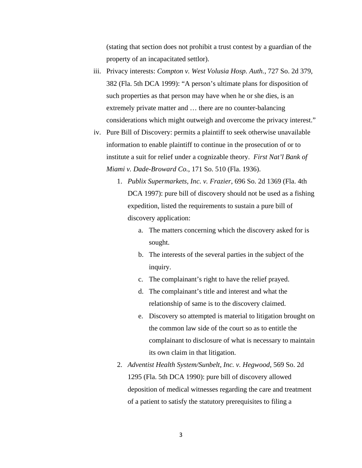(stating that section does not prohibit a trust contest by a guardian of the property of an incapacitated settlor).

- iii. Privacy interests: *Compton v. West Volusia Hosp. Auth.*, 727 So. 2d 379, 382 (Fla. 5th DCA 1999): "A person's ultimate plans for disposition of such properties as that person may have when he or she dies, is an extremely private matter and … there are no counter-balancing considerations which might outweigh and overcome the privacy interest."
- iv. Pure Bill of Discovery: permits a plaintiff to seek otherwise unavailable information to enable plaintiff to continue in the prosecution of or to institute a suit for relief under a cognizable theory. *First Nat'l Bank of Miami v. Dade-Broward Co.*, 171 So. 510 (Fla. 1936).
	- 1. *Publix Supermarkets, Inc. v. Frazier*, 696 So. 2d 1369 (Fla. 4th DCA 1997): pure bill of discovery should not be used as a fishing expedition, listed the requirements to sustain a pure bill of discovery application:
		- a. The matters concerning which the discovery asked for is sought.
		- b. The interests of the several parties in the subject of the inquiry.
		- c. The complainant's right to have the relief prayed.
		- d. The complainant's title and interest and what the relationship of same is to the discovery claimed.
		- e. Discovery so attempted is material to litigation brought on the common law side of the court so as to entitle the complainant to disclosure of what is necessary to maintain its own claim in that litigation.
	- 2. *Adventist Health System/Sunbelt, Inc. v. Hegwood*, 569 So. 2d 1295 (Fla. 5th DCA 1990): pure bill of discovery allowed deposition of medical witnesses regarding the care and treatment of a patient to satisfy the statutory prerequisites to filing a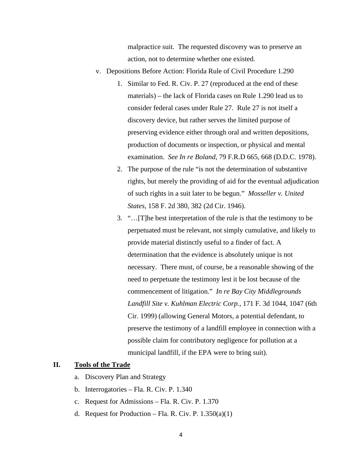malpractice suit. The requested discovery was to preserve an action, not to determine whether one existed.

- v. Depositions Before Action: Florida Rule of Civil Procedure 1.290
	- 1. Similar to Fed. R. Civ. P. 27 (reproduced at the end of these materials) – the lack of Florida cases on Rule 1.290 lead us to consider federal cases under Rule 27. Rule 27 is not itself a discovery device, but rather serves the limited purpose of preserving evidence either through oral and written depositions, production of documents or inspection, or physical and mental examination. *See In re Boland*, 79 F.R.D 665, 668 (D.D.C. 1978).
	- 2. The purpose of the rule "is not the determination of substantive rights, but merely the providing of aid for the eventual adjudication of such rights in a suit later to be begun." *Mosseller v. United States*, 158 F. 2d 380, 382 (2d Cir. 1946).
	- 3. "…[T]he best interpretation of the rule is that the testimony to be perpetuated must be relevant, not simply cumulative, and likely to provide material distinctly useful to a finder of fact. A determination that the evidence is absolutely unique is not necessary. There must, of course, be a reasonable showing of the need to perpetuate the testimony lest it be lost because of the commencement of litigation." *In re Bay City Middlegrounds Landfill Site v. Kuhlman Electric Corp.*, 171 F. 3d 1044, 1047 (6th Cir. 1999) (allowing General Motors, a potential defendant, to preserve the testimony of a landfill employee in connection with a possible claim for contributory negligence for pollution at a municipal landfill, if the EPA were to bring suit).

## **II. Tools of the Trade**

- a. Discovery Plan and Strategy
- b. Interrogatories Fla. R. Civ. P. 1.340
- c. Request for Admissions Fla. R. Civ. P. 1.370
- d. Request for Production Fla. R. Civ. P.  $1.350(a)(1)$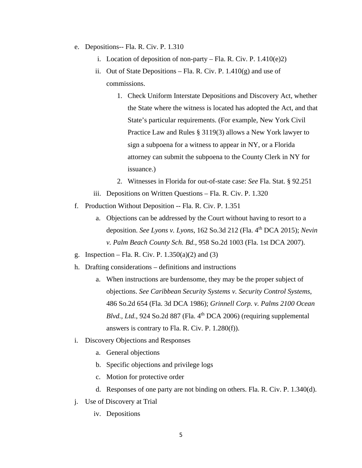- e. Depositions-- Fla. R. Civ. P. 1.310
	- i. Location of deposition of non-party Fla. R. Civ. P.  $1.410(e)2$ )
	- ii. Out of State Depositions Fla. R. Civ. P.  $1.410(g)$  and use of commissions.
		- 1. Check Uniform Interstate Depositions and Discovery Act, whether the State where the witness is located has adopted the Act, and that State's particular requirements. (For example, New York Civil Practice Law and Rules § 3119(3) allows a New York lawyer to sign a subpoena for a witness to appear in NY, or a Florida attorney can submit the subpoena to the County Clerk in NY for issuance.)
		- 2. Witnesses in Florida for out-of-state case: *See* Fla. Stat. § 92.251
	- iii. Depositions on Written Questions Fla. R. Civ. P. 1.320
- f. Production Without Deposition -- Fla. R. Civ. P. 1.351
	- a. Objections can be addressed by the Court without having to resort to a deposition. *See Lyons v. Lyons*, 162 So.3d 212 (Fla. 4<sup>th</sup> DCA 2015); *Nevin v. Palm Beach County Sch. Bd.*, 958 So.2d 1003 (Fla. 1st DCA 2007).
- g. Inspection Fla. R. Civ. P.  $1.350(a)(2)$  and  $(3)$
- h. Drafting considerations definitions and instructions
	- a. When instructions are burdensome, they may be the proper subject of objections. *See Caribbean Security Systems v. Security Control Systems*, 486 So.2d 654 (Fla. 3d DCA 1986); *Grinnell Corp. v. Palms 2100 Ocean*   $Blvd., Ltd., 924$  So.2d 887 (Fla.  $4<sup>th</sup>$  DCA 2006) (requiring supplemental answers is contrary to Fla. R. Civ. P. 1.280(f)).
- i. Discovery Objections and Responses
	- a. General objections
	- b. Specific objections and privilege logs
	- c. Motion for protective order
	- d. Responses of one party are not binding on others. Fla. R. Civ. P. 1.340(d).
- j. Use of Discovery at Trial
	- iv. Depositions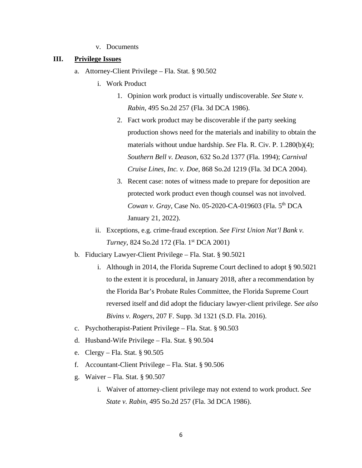v. Documents

#### **III. Privilege Issues**

- a. Attorney-Client Privilege Fla. Stat. § 90.502
	- i. Work Product
		- 1. Opinion work product is virtually undiscoverable. *See State v. Rabin*, 495 So.2d 257 (Fla. 3d DCA 1986).
		- 2. Fact work product may be discoverable if the party seeking production shows need for the materials and inability to obtain the materials without undue hardship. *See* Fla. R. Civ. P. 1.280(b)(4); *Southern Bell v. Deason*, 632 So.2d 1377 (Fla. 1994); *Carnival Cruise Lines, Inc. v. Doe*, 868 So.2d 1219 (Fla. 3d DCA 2004).
		- 3. Recent case: notes of witness made to prepare for deposition are protected work product even though counsel was not involved. *Cowan v. Gray*, Case No. 05-2020-CA-019603 (Fla. 5th DCA January 21, 2022).
	- ii. Exceptions, e.g. crime-fraud exception. *See First Union Nat'l Bank v. Turney*, 824 So.2d 172 (Fla. 1<sup>st</sup> DCA 2001)
- b. Fiduciary Lawyer-Client Privilege Fla. Stat. § 90.5021
	- i. Although in 2014, the Florida Supreme Court declined to adopt § 90.5021 to the extent it is procedural, in January 2018, after a recommendation by the Florida Bar's Probate Rules Committee, the Florida Supreme Court reversed itself and did adopt the fiduciary lawyer-client privilege. S*ee also Bivins v. Rogers*, 207 F. Supp. 3d 1321 (S.D. Fla. 2016).
- c. Psychotherapist-Patient Privilege Fla. Stat. § 90.503
- d. Husband-Wife Privilege Fla. Stat. § 90.504
- e. Clergy Fla. Stat. § 90.505
- f. Accountant-Client Privilege Fla. Stat. § 90.506
- g. Waiver Fla. Stat. § 90.507
	- i. Waiver of attorney-client privilege may not extend to work product. *See State v. Rabin*, 495 So.2d 257 (Fla. 3d DCA 1986).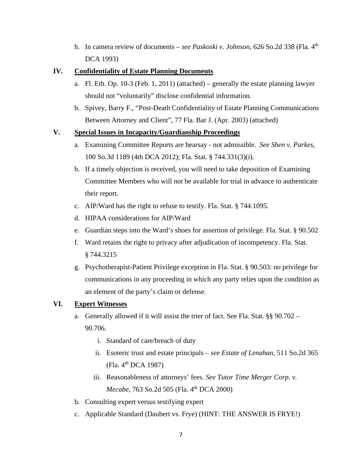h. In camera review of documents – *see Paskoski v. Johnson*, 626 So.2d 338 (Fla. 4<sup>th</sup>) DCA 1993)

# **IV. Confidentiality of Estate Planning Documents**

- a. Fl. Eth. Op. 10-3 (Feb. 1, 2011) (attached) generally the estate planning lawyer should not "voluntarily" disclose confidential information.
- b. Spivey, Barry F., "Post-Death Confidentiality of Estate Planning Communications Between Attorney and Client", 77 Fla. Bar J. (Apr. 2003) (attached)

### **V. Special Issues in Incapacity/Guardianship Proceedings**

- a. Examining Committee Reports are hearsay not admissible. *See Shen v. Parkes*, 100 So.3d 1189 (4th DCA 2012); Fla. Stat. § 744.331(3)(i).
- b. If a timely objection is received, you will need to take deposition of Examining Committee Members who will not be available for trial in advance to authenticate their report.
- c. AIP/Ward has the right to refuse to testify. Fla. Stat. § 744.1095.
- d. HIPAA considerations for AIP/Ward
- e. Guardian steps into the Ward's shoes for assertion of privilege. Fla. Stat. § 90.502
- f. Ward retains the right to privacy after adjudication of incompetency. Fla. Stat. § 744.3215
- g. Psychotherapist-Patient Privilege exception in Fla. Stat. § 90.503: no privilege for communications in any proceeding in which any party relies upon the condition as an element of the party's claim or defense.

## **VI. Expert Witnesses**

- a. Generally allowed if it will assist the trier of fact. See Fla. Stat. §§ 90.702 90.706.
	- i. Standard of care/breach of duty
	- ii. Esoteric trust and estate principals *see Estate of Lenahan*, 511 So.2d 365 (Fla. 4<sup>th</sup> DCA 1987)
	- iii. Reasonableness of attorneys' fees. *See Tutor Time Merger Corp. v. Mecabe*, 763 So.2d 505 (Fla. 4<sup>th</sup> DCA 2000)
- b. Consulting expert versus testifying expert
- c. Applicable Standard (Daubert vs. Frye) (HINT: THE ANSWER IS FRYE!)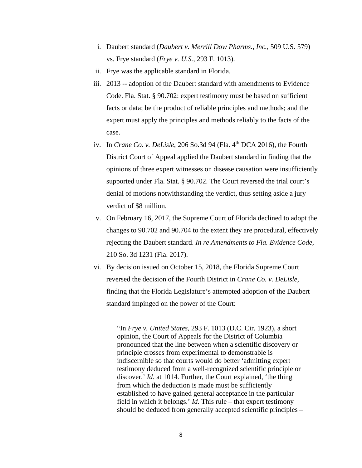- i. Daubert standard (*Daubert v. Merrill Dow Pharms., Inc.*, 509 U.S. 579) vs. Frye standard (*Frye v. U.S.*, 293 F. 1013).
- ii. Frye was the applicable standard in Florida.
- iii. 2013 -- adoption of the Daubert standard with amendments to Evidence Code. Fla. Stat. § 90.702: expert testimony must be based on sufficient facts or data; be the product of reliable principles and methods; and the expert must apply the principles and methods reliably to the facts of the case.
- iv. In *Crane Co. v. DeLisle*, 206 So.3d 94 (Fla. 4<sup>th</sup> DCA 2016), the Fourth District Court of Appeal applied the Daubert standard in finding that the opinions of three expert witnesses on disease causation were insufficiently supported under Fla. Stat. § 90.702. The Court reversed the trial court's denial of motions notwithstanding the verdict, thus setting aside a jury verdict of \$8 million.
- v. On February 16, 2017, the Supreme Court of Florida declined to adopt the changes to 90.702 and 90.704 to the extent they are procedural, effectively rejecting the Daubert standard. *In re Amendments to Fla. Evidence Code*, 210 So. 3d 1231 (Fla. 2017).
- vi. By decision issued on October 15, 2018, the Florida Supreme Court reversed the decision of the Fourth District in *Crane Co. v. DeLisle*, finding that the Florida Legislature's attempted adoption of the Daubert standard impinged on the power of the Court:

"In *Frye v. United States*, 293 F. 1013 (D.C. Cir. 1923), a short opinion, the Court of Appeals for the District of Columbia pronounced that the line between when a scientific discovery or principle crosses from experimental to demonstrable is indiscernible so that courts would do better 'admitting expert testimony deduced from a well-recognized scientific principle or discover.' *Id*. at 1014. Further, the Court explained, 'the thing from which the deduction is made must be sufficiently established to have gained general acceptance in the particular field in which it belongs.' *Id*. This rule – that expert testimony should be deduced from generally accepted scientific principles –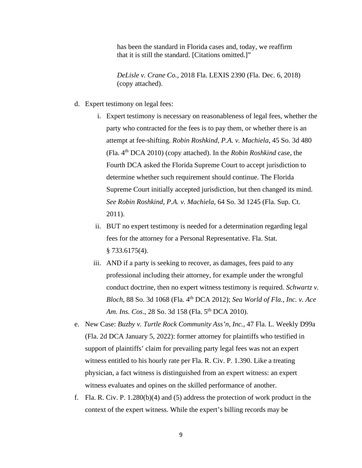has been the standard in Florida cases and, today, we reaffirm that it is still the standard. [Citations omitted.]"

*DeLisle v. Crane Co.*, 2018 Fla. LEXIS 2390 (Fla. Dec. 6, 2018) (copy attached).

- d. Expert testimony on legal fees:
	- i. Expert testimony is necessary on reasonableness of legal fees, whether the party who contracted for the fees is to pay them, or whether there is an attempt at fee-shifting. *Robin Roshkind, P.A. v. Machiela*, 45 So. 3d 480 (Fla. 4th DCA 2010) (copy attached). In the *Robin Roshkind* case, the Fourth DCA asked the Florida Supreme Court to accept jurisdiction to determine whether such requirement should continue. The Florida Supreme Court initially accepted jurisdiction, but then changed its mind. *See Robin Roshkind, P.A. v. Machiela*, 64 So. 3d 1245 (Fla. Sup. Ct. 2011).
	- ii. BUT no expert testimony is needed for a determination regarding legal fees for the attorney for a Personal Representative. Fla. Stat. § 733.6175(4).
	- iii. AND if a party is seeking to recover, as damages, fees paid to any professional including their attorney, for example under the wrongful conduct doctrine, then no expert witness testimony is required. *Schwartz v. Bloch*, 88 So. 3d 1068 (Fla. 4th DCA 2012); *Sea World of Fla., Inc. v. Ace Am. Ins. Cos.*, 28 So. 3d 158 (Fla. 5<sup>th</sup> DCA 2010).
- e. New Case: *Buzby v. Turtle Rock Community Ass'n, Inc.*, 47 Fla. L. Weekly D99a (Fla. 2d DCA January 5, 2022): former attorney for plaintiffs who testified in support of plaintiffs' claim for prevailing party legal fees was not an expert witness entitled to his hourly rate per Fla. R. Civ. P. 1.390. Like a treating physician, a fact witness is distinguished from an expert witness: an expert witness evaluates and opines on the skilled performance of another.
- f. Fla. R. Civ. P. 1.280(b)(4) and (5) address the protection of work product in the context of the expert witness. While the expert's billing records may be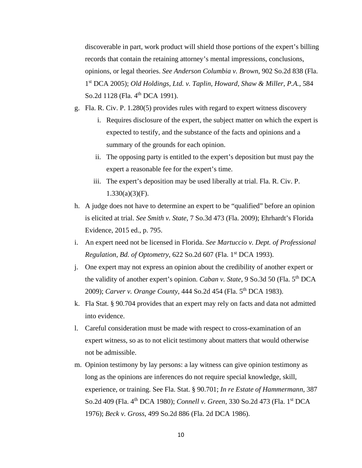discoverable in part, work product will shield those portions of the expert's billing records that contain the retaining attorney's mental impressions, conclusions, opinions, or legal theories. *See Anderson Columbia v. Brown*, 902 So.2d 838 (Fla. 1st DCA 2005); *Old Holdings, Ltd. v. Taplin, Howard, Shaw & Miller, P.A.*, 584 So.2d 1128 (Fla. 4<sup>th</sup> DCA 1991).

- g. Fla. R. Civ. P. 1.280(5) provides rules with regard to expert witness discovery
	- i. Requires disclosure of the expert, the subject matter on which the expert is expected to testify, and the substance of the facts and opinions and a summary of the grounds for each opinion.
	- ii. The opposing party is entitled to the expert's deposition but must pay the expert a reasonable fee for the expert's time.
	- iii. The expert's deposition may be used liberally at trial. Fla. R. Civ. P.  $1.330(a)(3)(F)$ .
- h. A judge does not have to determine an expert to be "qualified" before an opinion is elicited at trial. *See Smith v. State*, 7 So.3d 473 (Fla. 2009); Ehrhardt's Florida Evidence, 2015 ed., p. 795.
- i. An expert need not be licensed in Florida. *See Martuccio v. Dept. of Professional Regulation*, *Bd. of Optometry*, 622 So.2d 607 (Fla. 1st DCA 1993).
- j. One expert may not express an opinion about the credibility of another expert or the validity of another expert's opinion. *Caban v. State*, 9 So.3d 50 (Fla. 5<sup>th</sup> DCA 2009); *Carver v. Orange County*, 444 So.2d 454 (Fla. 5th DCA 1983).
- k. Fla Stat. § 90.704 provides that an expert may rely on facts and data not admitted into evidence.
- l. Careful consideration must be made with respect to cross-examination of an expert witness, so as to not elicit testimony about matters that would otherwise not be admissible.
- m. Opinion testimony by lay persons: a lay witness can give opinion testimony as long as the opinions are inferences do not require special knowledge, skill, experience, or training. See Fla. Stat. § 90.701; *In re Estate of Hammermann*, 387 So.2d 409 (Fla. 4th DCA 1980); *Connell v. Green*, 330 So.2d 473 (Fla. 1st DCA 1976); *Beck v. Gross*, 499 So.2d 886 (Fla. 2d DCA 1986).